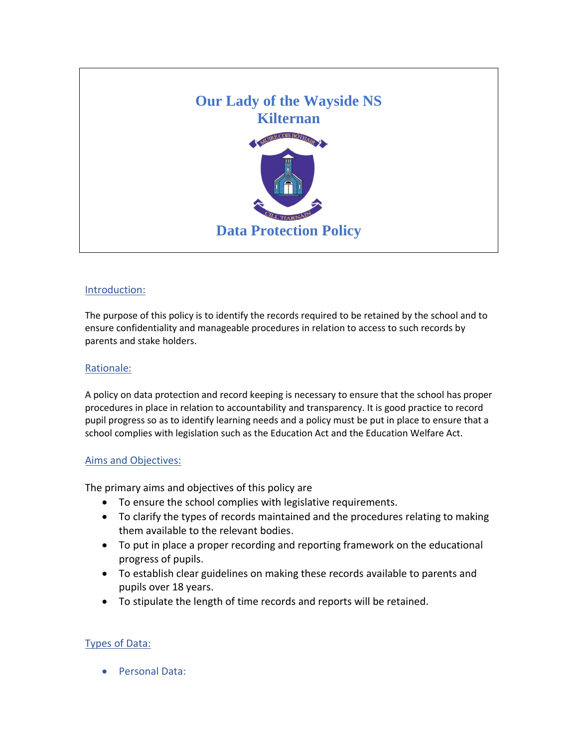

### Introduction:

The purpose of this policy is to identify the records required to be retained by the school and to ensure confidentiality and manageable procedures in relation to access to such records by parents and stake holders.

### Rationale:

A policy on data protection and record keeping is necessary to ensure that the school has proper procedures in place in relation to accountability and transparency. It is good practice to record pupil progress so as to identify learning needs and a policy must be put in place to ensure that a school complies with legislation such as the Education Act and the Education Welfare Act.

### Aims and Objectives:

The primary aims and objectives of this policy are

- To ensure the school complies with legislative requirements.
- To clarify the types of records maintained and the procedures relating to making them available to the relevant bodies.
- To put in place a proper recording and reporting framework on the educational progress of pupils.
- To establish clear guidelines on making these records available to parents and pupils over 18 years.
- To stipulate the length of time records and reports will be retained.

#### Types of Data:

Personal Data: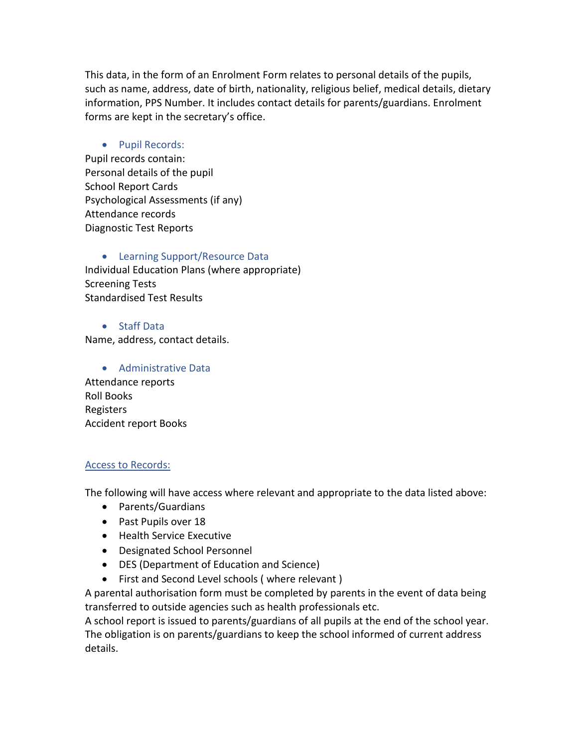This data, in the form of an Enrolment Form relates to personal details of the pupils, such as name, address, date of birth, nationality, religious belief, medical details, dietary information, PPS Number. It includes contact details for parents/guardians. Enrolment forms are kept in the secretary's office.

## • Pupil Records:

Pupil records contain: Personal details of the pupil School Report Cards Psychological Assessments (if any) Attendance records Diagnostic Test Reports

• Learning Support/Resource Data Individual Education Plans (where appropriate) Screening Tests Standardised Test Results

## Staff Data

Name, address, contact details.

 Administrative Data Attendance reports Roll Books Registers Accident report Books

# Access to Records:

The following will have access where relevant and appropriate to the data listed above:

- Parents/Guardians
- Past Pupils over 18
- Health Service Executive
- Designated School Personnel
- DES (Department of Education and Science)
- First and Second Level schools (where relevant)

A parental authorisation form must be completed by parents in the event of data being transferred to outside agencies such as health professionals etc.

A school report is issued to parents/guardians of all pupils at the end of the school year. The obligation is on parents/guardians to keep the school informed of current address details.